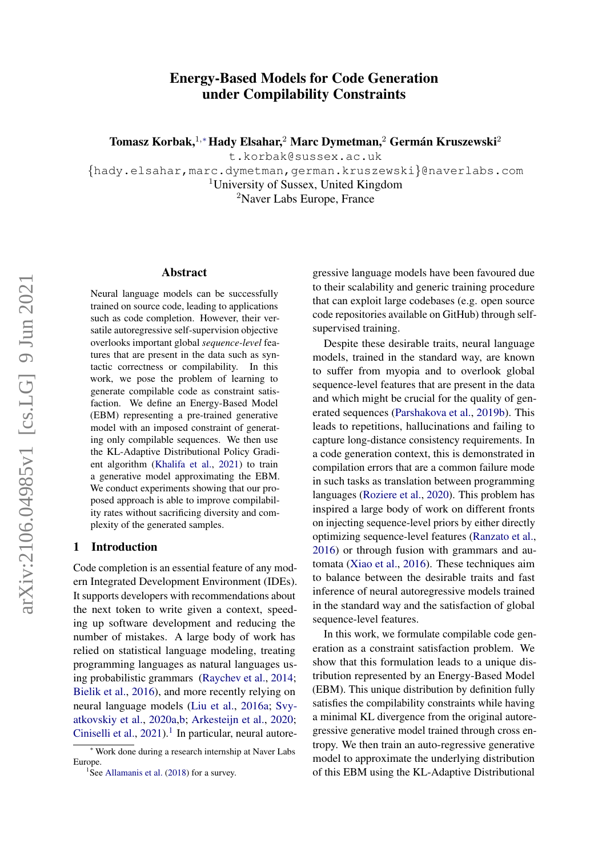# Energy-Based Models for Code Generation under Compilability Constraints

Tomasz Korbak,<sup>1,</sup>\* Hady Elsahar,<sup>2</sup> Marc Dymetman,<sup>2</sup> Germán Kruszewski<sup>2</sup>

t.korbak@sussex.ac.uk

{hady.elsahar,marc.dymetman,german.kruszewski}@naverlabs.com <sup>1</sup>University of Sussex, United Kingdom <sup>2</sup>Naver Labs Europe, France

#### Abstract

Neural language models can be successfully trained on source code, leading to applications such as code completion. However, their versatile autoregressive self-supervision objective overlooks important global *sequence-level* features that are present in the data such as syntactic correctness or compilability. In this work, we pose the problem of learning to generate compilable code as constraint satisfaction. We define an Energy-Based Model (EBM) representing a pre-trained generative model with an imposed constraint of generating only compilable sequences. We then use the KL-Adaptive Distributional Policy Gradient algorithm [\(Khalifa et al.,](#page-7-0) [2021\)](#page-7-0) to train a generative model approximating the EBM. We conduct experiments showing that our proposed approach is able to improve compilability rates without sacrificing diversity and complexity of the generated samples.

#### 1 Introduction

Code completion is an essential feature of any modern Integrated Development Environment (IDEs). It supports developers with recommendations about the next token to write given a context, speeding up software development and reducing the number of mistakes. A large body of work has relied on statistical language modeling, treating programming languages as natural languages using probabilistic grammars [\(Raychev et al.,](#page-8-0) [2014;](#page-8-0) [Bielik et al.,](#page-7-1) [2016\)](#page-7-1), and more recently relying on neural language models [\(Liu et al.,](#page-7-2) [2016a;](#page-7-2) [Svy](#page-8-1)[atkovskiy et al.,](#page-8-1) [2020a,](#page-8-1)[b;](#page-8-2) [Arkesteijn et al.,](#page-7-3) [2020;](#page-7-3) [Ciniselli et al.,](#page-7-4)  $2021$  $2021$ ).<sup>1</sup> In particular, neural autoregressive language models have been favoured due to their scalability and generic training procedure that can exploit large codebases (e.g. open source code repositories available on GitHub) through selfsupervised training.

Despite these desirable traits, neural language models, trained in the standard way, are known to suffer from myopia and to overlook global sequence-level features that are present in the data and which might be crucial for the quality of generated sequences [\(Parshakova et al.,](#page-8-3) [2019b\)](#page-8-3). This leads to repetitions, hallucinations and failing to capture long-distance consistency requirements. In a code generation context, this is demonstrated in compilation errors that are a common failure mode in such tasks as translation between programming languages [\(Roziere et al.,](#page-8-4) [2020\)](#page-8-4). This problem has inspired a large body of work on different fronts on injecting sequence-level priors by either directly optimizing sequence-level features [\(Ranzato et al.,](#page-8-5) [2016\)](#page-8-5) or through fusion with grammars and automata [\(Xiao et al.,](#page-9-0) [2016\)](#page-9-0). These techniques aim to balance between the desirable traits and fast inference of neural autoregressive models trained in the standard way and the satisfaction of global sequence-level features.

In this work, we formulate compilable code generation as a constraint satisfaction problem. We show that this formulation leads to a unique distribution represented by an Energy-Based Model (EBM). This unique distribution by definition fully satisfies the compilability constraints while having a minimal KL divergence from the original autoregressive generative model trained through cross entropy. We then train an auto-regressive generative model to approximate the underlying distribution of this EBM using the KL-Adaptive Distributional

<sup>∗</sup> Work done during a research internship at Naver Labs Europe.

<span id="page-0-0"></span><sup>&</sup>lt;sup>1</sup>See [Allamanis et al.](#page-6-0) [\(2018\)](#page-6-0) for a survey.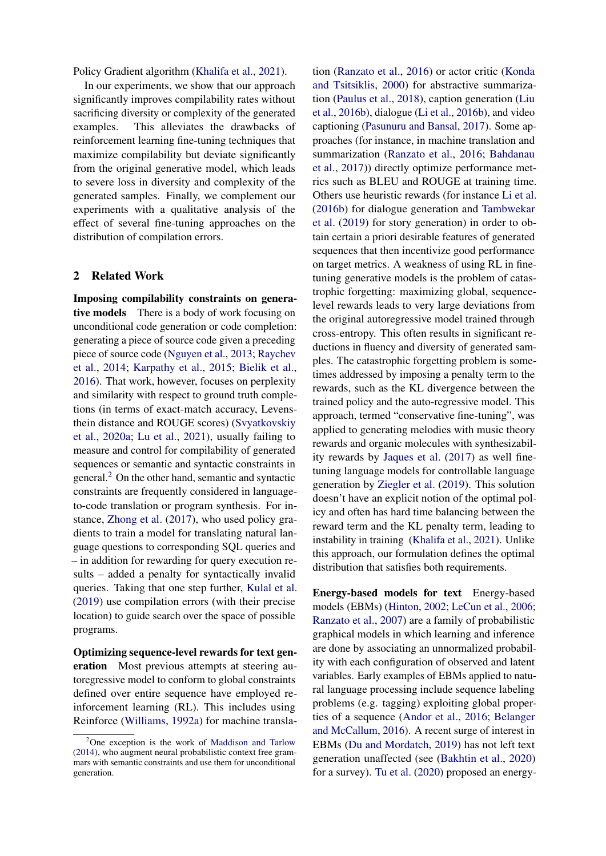Policy Gradient algorithm [\(Khalifa et al.,](#page-7-0) [2021\)](#page-7-0).

In our experiments, we show that our approach significantly improves compilability rates without sacrificing diversity or complexity of the generated examples. This alleviates the drawbacks of reinforcement learning fine-tuning techniques that maximize compilability but deviate significantly from the original generative model, which leads to severe loss in diversity and complexity of the generated samples. Finally, we complement our experiments with a qualitative analysis of the effect of several fine-tuning approaches on the distribution of compilation errors.

### 2 Related Work

Imposing compilability constraints on generative models There is a body of work focusing on unconditional code generation or code completion: generating a piece of source code given a preceding piece of source code [\(Nguyen et al.,](#page-8-6) [2013;](#page-8-6) [Raychev](#page-8-0) [et al.,](#page-8-0) [2014;](#page-8-0) [Karpathy et al.,](#page-7-5) [2015;](#page-7-5) [Bielik et al.,](#page-7-1) [2016\)](#page-7-1). That work, however, focuses on perplexity and similarity with respect to ground truth completions (in terms of exact-match accuracy, Levensthein distance and ROUGE scores) [\(Svyatkovskiy](#page-8-1) [et al.,](#page-8-1) [2020a;](#page-8-1) [Lu et al.,](#page-7-6) [2021\)](#page-7-6), usually failing to measure and control for compilability of generated sequences or semantic and syntactic constraints in general.[2](#page-1-0) On the other hand, semantic and syntactic constraints are frequently considered in languageto-code translation or program synthesis. For instance, [Zhong et al.](#page-9-1) [\(2017\)](#page-9-1), who used policy gradients to train a model for translating natural language questions to corresponding SQL queries and – in addition for rewarding for query execution results – added a penalty for syntactically invalid queries. Taking that one step further, [Kulal et al.](#page-7-7) [\(2019\)](#page-7-7) use compilation errors (with their precise location) to guide search over the space of possible programs.

Optimizing sequence-level rewards for text generation Most previous attempts at steering autoregressive model to conform to global constraints defined over entire sequence have employed reinforcement learning (RL). This includes using Reinforce [\(Williams,](#page-8-7) [1992a\)](#page-8-7) for machine translation [\(Ranzato et al.,](#page-8-5) [2016\)](#page-8-5) or actor critic [\(Konda](#page-7-9) [and Tsitsiklis,](#page-7-9) [2000\)](#page-7-9) for abstractive summarization [\(Paulus et al.,](#page-8-8) [2018\)](#page-8-8), caption generation [\(Liu](#page-7-10) [et al.,](#page-7-10) [2016b\)](#page-7-10), dialogue [\(Li et al.,](#page-7-11) [2016b\)](#page-7-11), and video captioning [\(Pasunuru and Bansal,](#page-8-9) [2017\)](#page-8-9). Some approaches (for instance, in machine translation and summarization [\(Ranzato et al.,](#page-8-5) [2016;](#page-8-5) [Bahdanau](#page-7-12) [et al.,](#page-7-12) [2017\)](#page-7-12)) directly optimize performance metrics such as BLEU and ROUGE at training time. Others use heuristic rewards (for instance [Li et al.](#page-7-11) [\(2016b\)](#page-7-11) for dialogue generation and [Tambwekar](#page-8-10) [et al.](#page-8-10) [\(2019\)](#page-8-10) for story generation) in order to obtain certain a priori desirable features of generated sequences that then incentivize good performance on target metrics. A weakness of using RL in finetuning generative models is the problem of catastrophic forgetting: maximizing global, sequencelevel rewards leads to very large deviations from the original autoregressive model trained through cross-entropy. This often results in significant reductions in fluency and diversity of generated samples. The catastrophic forgetting problem is sometimes addressed by imposing a penalty term to the rewards, such as the KL divergence between the trained policy and the auto-regressive model. This approach, termed "conservative fine-tuning", was applied to generating melodies with music theory rewards and organic molecules with synthesizability rewards by [Jaques et al.](#page-7-13) [\(2017\)](#page-7-13) as well finetuning language models for controllable language generation by [Ziegler et al.](#page-9-2) [\(2019\)](#page-9-2). This solution doesn't have an explicit notion of the optimal policy and often has hard time balancing between the reward term and the KL penalty term, leading to instability in training [\(Khalifa et al.,](#page-7-0) [2021\)](#page-7-0). Unlike this approach, our formulation defines the optimal distribution that satisfies both requirements.

Energy-based models for text Energy-based models (EBMs) [\(Hinton,](#page-7-14) [2002;](#page-7-14) [LeCun et al.,](#page-7-15) [2006;](#page-7-15) [Ranzato et al.,](#page-8-11) [2007\)](#page-8-11) are a family of probabilistic graphical models in which learning and inference are done by associating an unnormalized probability with each configuration of observed and latent variables. Early examples of EBMs applied to natural language processing include sequence labeling problems (e.g. tagging) exploiting global properties of a sequence [\(Andor et al.,](#page-6-1) [2016;](#page-6-1) [Belanger](#page-7-16) [and McCallum,](#page-7-16) [2016\)](#page-7-16). A recent surge of interest in EBMs [\(Du and Mordatch,](#page-7-17) [2019\)](#page-7-17) has not left text generation unaffected (see [\(Bakhtin et al.,](#page-7-18) [2020\)](#page-7-18) for a survey). [Tu et al.](#page-8-12) [\(2020\)](#page-8-12) proposed an energy-

<span id="page-1-0"></span> $2$ One exception is the work of [Maddison and Tarlow](#page-7-8) [\(2014\)](#page-7-8), who augment neural probabilistic context free grammars with semantic constraints and use them for unconditional generation.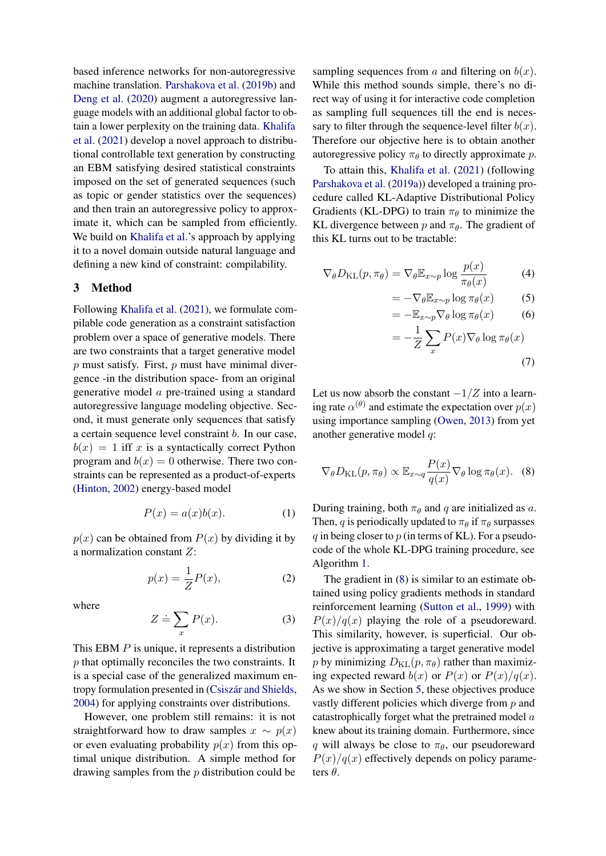based inference networks for non-autoregressive machine translation. [Parshakova et al.](#page-8-3) [\(2019b\)](#page-8-3) and [Deng et al.](#page-7-19) [\(2020\)](#page-7-19) augment a autoregressive language models with an additional global factor to obtain a lower perplexity on the training data. [Khalifa](#page-7-0) [et al.](#page-7-0) [\(2021\)](#page-7-0) develop a novel approach to distributional controllable text generation by constructing an EBM satisfying desired statistical constraints imposed on the set of generated sequences (such as topic or gender statistics over the sequences) and then train an autoregressive policy to approximate it, which can be sampled from efficiently. We build on [Khalifa et al.'](#page-7-0)s approach by applying it to a novel domain outside natural language and defining a new kind of constraint: compilability.

### 3 Method

Following [Khalifa et al.](#page-7-0) [\(2021\)](#page-7-0), we formulate compilable code generation as a constraint satisfaction problem over a space of generative models. There are two constraints that a target generative model  $p$  must satisfy. First,  $p$  must have minimal divergence -in the distribution space- from an original generative model a pre-trained using a standard autoregressive language modeling objective. Second, it must generate only sequences that satisfy a certain sequence level constraint b. In our case,  $b(x) = 1$  iff x is a syntactically correct Python program and  $b(x) = 0$  otherwise. There two constraints can be represented as a product-of-experts [\(Hinton,](#page-7-14) [2002\)](#page-7-14) energy-based model

$$
P(x) = a(x)b(x). \tag{1}
$$

 $p(x)$  can be obtained from  $P(x)$  by dividing it by a normalization constant Z:

$$
p(x) = \frac{1}{Z}P(x),\tag{2}
$$

where

$$
Z \doteq \sum_{x} P(x). \tag{3}
$$

This EBM  $P$  is unique, it represents a distribution  $p$  that optimally reconciles the two constraints. It is a special case of the generalized maximum entropy formulation presented in (Csiszár and Shields, [2004\)](#page-7-20) for applying constraints over distributions.

However, one problem still remains: it is not straightforward how to draw samples  $x \sim p(x)$ or even evaluating probability  $p(x)$  from this optimal unique distribution. A simple method for drawing samples from the p distribution could be

sampling sequences from a and filtering on  $b(x)$ . While this method sounds simple, there's no direct way of using it for interactive code completion as sampling full sequences till the end is necessary to filter through the sequence-level filter  $b(x)$ . Therefore our objective here is to obtain another autoregressive policy  $\pi_{\theta}$  to directly approximate p.

To attain this, [Khalifa et al.](#page-7-0) [\(2021\)](#page-7-0) (following [Parshakova et al.](#page-8-13) [\(2019a\)](#page-8-13)) developed a training procedure called KL-Adaptive Distributional Policy Gradients (KL-DPG) to train  $\pi_{\theta}$  to minimize the KL divergence between p and  $\pi_{\theta}$ . The gradient of this KL turns out to be tractable:

$$
\nabla_{\theta} D_{\mathrm{KL}}(p, \pi_{\theta}) = \nabla_{\theta} \mathbb{E}_{x \sim p} \log \frac{p(x)}{\pi_{\theta}(x)}
$$
(4)

<span id="page-2-1"></span>
$$
= -\nabla_{\theta} \mathbb{E}_{x \sim p} \log \pi_{\theta}(x) \tag{5}
$$

$$
= -\mathbb{E}_{x \sim p} \nabla_{\theta} \log \pi_{\theta}(x) \tag{6}
$$

<span id="page-2-0"></span>
$$
= -\frac{1}{Z} \sum_{x} P(x) \nabla_{\theta} \log \pi_{\theta}(x)
$$
\n(7)

Let us now absorb the constant  $-1/Z$  into a learning rate  $\alpha^{(\theta)}$  and estimate the expectation over  $p(x)$ using importance sampling [\(Owen,](#page-8-14) [2013\)](#page-8-14) from yet another generative model q:

$$
\nabla_{\theta} D_{\mathrm{KL}}(p, \pi_{\theta}) \propto \mathbb{E}_{x \sim q} \frac{P(x)}{q(x)} \nabla_{\theta} \log \pi_{\theta}(x). \quad (8)
$$

During training, both  $\pi_{\theta}$  and q are initialized as a. Then, q is periodically updated to  $\pi_{\theta}$  if  $\pi_{\theta}$  surpasses q in being closer to  $p$  (in terms of KL). For a pseudocode of the whole KL-DPG training procedure, see Algorithm [1.](#page-3-0)

The gradient in [\(8\)](#page-2-0) is similar to an estimate obtained using policy gradients methods in standard reinforcement learning [\(Sutton et al.,](#page-8-15) [1999\)](#page-8-15) with  $P(x)/q(x)$  playing the role of a pseudoreward. This similarity, however, is superficial. Our objective is approximating a target generative model p by minimizing  $D_{\text{KL}}(p, \pi_{\theta})$  rather than maximizing expected reward  $b(x)$  or  $P(x)$  or  $P(x)/q(x)$ . As we show in Section [5,](#page-4-0) these objectives produce vastly different policies which diverge from p and catastrophically forget what the pretrained model a knew about its training domain. Furthermore, since q will always be close to  $\pi_{\theta}$ , our pseudoreward  $P(x)/q(x)$  effectively depends on policy parameters  $\theta$ .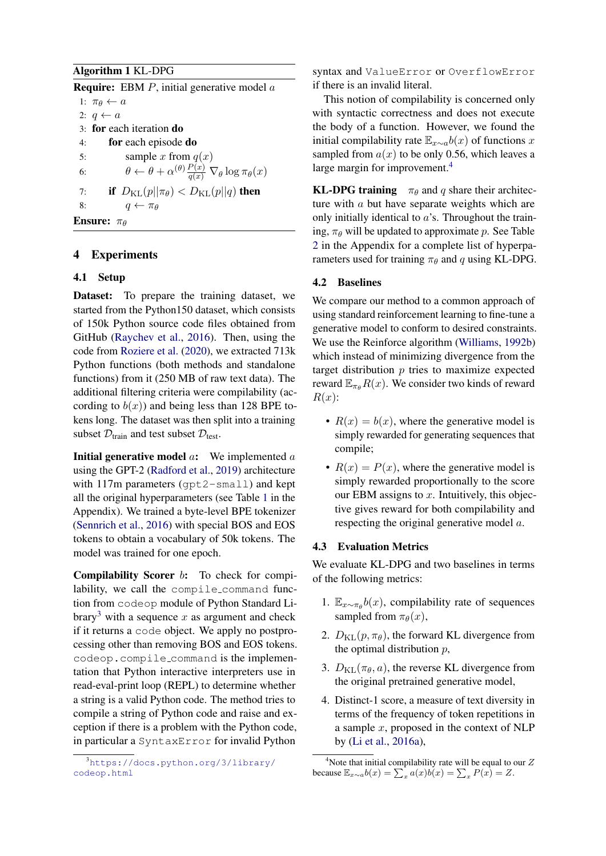# <span id="page-3-0"></span>Algorithm 1 KL-DPG

**Require:** EBM  $P$ , initial generative model  $\alpha$ 

1:  $\pi_{\theta} \leftarrow a$ 2:  $q \leftarrow a$ 3: for each iteration do 4: for each episode do 5: sample x from  $q(x)$ 6:  $\theta \leftarrow \theta + \alpha^{(\theta)} \frac{P(x)}{q(x)} \nabla_{\theta} \log \pi_{\theta}(x)$ 7: **if**  $D_{\text{KL}}(p||\pi_{\theta}) < D_{\text{KL}}(p||q)$  then 8:  $q \leftarrow \pi_{\theta}$ 



## 4 Experiments

### 4.1 Setup

Dataset: To prepare the training dataset, we started from the Python150 dataset, which consists of 150k Python source code files obtained from GitHub [\(Raychev et al.,](#page-8-16) [2016\)](#page-8-16). Then, using the code from [Roziere et al.](#page-8-4) [\(2020\)](#page-8-4), we extracted 713k Python functions (both methods and standalone functions) from it (250 MB of raw text data). The additional filtering criteria were compilability (according to  $b(x)$ ) and being less than 128 BPE tokens long. The dataset was then split into a training subset  $\mathcal{D}_{\text{train}}$  and test subset  $\mathcal{D}_{\text{test}}$ .

**Initial generative model a:** We implemented  $a$ using the GPT-2 [\(Radford et al.,](#page-8-17) [2019\)](#page-8-17) architecture with 117m parameters (qpt2-small) and kept all the original hyperparameters (see Table [1](#page-10-0) in the Appendix). We trained a byte-level BPE tokenizer [\(Sennrich et al.,](#page-8-18) [2016\)](#page-8-18) with special BOS and EOS tokens to obtain a vocabulary of 50k tokens. The model was trained for one epoch.

Compilability Scorer b: To check for compilability, we call the compile\_command function from codeop module of Python Standard Li-brary<sup>[3](#page-3-1)</sup> with a sequence x as argument and check if it returns a code object. We apply no postprocessing other than removing BOS and EOS tokens. codeop.compile command is the implementation that Python interactive interpreters use in read-eval-print loop (REPL) to determine whether a string is a valid Python code. The method tries to compile a string of Python code and raise and exception if there is a problem with the Python code, in particular a SyntaxError for invalid Python

syntax and ValueError or OverflowError if there is an invalid literal.

This notion of compilability is concerned only with syntactic correctness and does not execute the body of a function. However, we found the initial compilability rate  $\mathbb{E}_{x \sim a} b(x)$  of functions x sampled from  $a(x)$  to be only 0.56, which leaves a large margin for improvement.<sup>[4](#page-3-2)</sup>

**KL-DPG training**  $\pi_{\theta}$  and q share their architecture with a but have separate weights which are only initially identical to a's. Throughout the training,  $\pi_{\theta}$  will be updated to approximate p. See Table [2](#page-10-1) in the Appendix for a complete list of hyperparameters used for training  $\pi_{\theta}$  and q using KL-DPG.

## 4.2 Baselines

We compare our method to a common approach of using standard reinforcement learning to fine-tune a generative model to conform to desired constraints. We use the Reinforce algorithm [\(Williams,](#page-9-3) [1992b\)](#page-9-3) which instead of minimizing divergence from the target distribution  $p$  tries to maximize expected reward  $\mathbb{E}_{\pi_{\theta}}R(x)$ . We consider two kinds of reward  $R(x)$ :

- $R(x) = b(x)$ , where the generative model is simply rewarded for generating sequences that compile;
- $R(x) = P(x)$ , where the generative model is simply rewarded proportionally to the score our EBM assigns to  $x$ . Intuitively, this objective gives reward for both compilability and respecting the original generative model a.

### 4.3 Evaluation Metrics

We evaluate KL-DPG and two baselines in terms of the following metrics:

- 1.  $\mathbb{E}_{x \sim \pi_{\theta}} b(x)$ , compilability rate of sequences sampled from  $\pi_{\theta}(x)$ ,
- 2.  $D_{\text{KL}}(p, \pi_{\theta})$ , the forward KL divergence from the optimal distribution  $p$ ,
- 3.  $D_{\text{KL}}(\pi_{\theta}, a)$ , the reverse KL divergence from the original pretrained generative model,
- 4. Distinct-1 score, a measure of text diversity in terms of the frequency of token repetitions in a sample  $x$ , proposed in the context of NLP by [\(Li et al.,](#page-7-21) [2016a\)](#page-7-21),

<span id="page-3-1"></span><sup>3</sup>[https://docs.python.org/3/library/](https://docs.python.org/3/library/codeop.html) [codeop.html](https://docs.python.org/3/library/codeop.html)

<span id="page-3-2"></span><sup>&</sup>lt;sup>4</sup>Note that initial compilability rate will be equal to our  $Z$ because  $\mathbb{E}_{x \sim a} b(x) = \sum_{x} a(x) b(x) = \sum_{x} P(x) = Z.$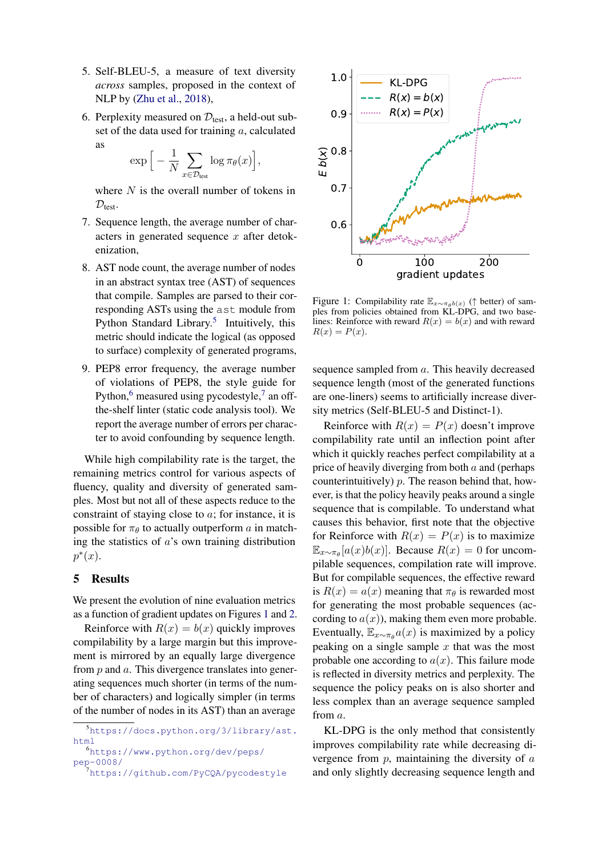- 5. Self-BLEU-5, a measure of text diversity *across* samples, proposed in the context of NLP by [\(Zhu et al.,](#page-9-4) [2018\)](#page-9-4),
- 6. Perplexity measured on  $\mathcal{D}_{\text{test}}$ , a held-out subset of the data used for training  $a$ , calculated as

$$
\exp\Big[-\frac{1}{N}\sum_{x\in\mathcal{D}_{\text{test}}}\log\pi_\theta(x)\Big],
$$

where  $N$  is the overall number of tokens in  $\mathcal{D}_{\text{test}}$ .

- 7. Sequence length, the average number of characters in generated sequence  $x$  after detokenization,
- 8. AST node count, the average number of nodes in an abstract syntax tree (AST) of sequences that compile. Samples are parsed to their corresponding ASTs using the ast module from Python Standard Library.<sup>[5](#page-4-1)</sup> Intuitively, this metric should indicate the logical (as opposed to surface) complexity of generated programs,
- 9. PEP8 error frequency, the average number of violations of PEP8, the style guide for Python, $6$  measured using pycodestyle, $7$  an offthe-shelf linter (static code analysis tool). We report the average number of errors per character to avoid confounding by sequence length.

While high compilability rate is the target, the remaining metrics control for various aspects of fluency, quality and diversity of generated samples. Most but not all of these aspects reduce to the constraint of staying close to a; for instance, it is possible for  $\pi_{\theta}$  to actually outperform a in matching the statistics of  $a$ 's own training distribution  $p^*(x)$ .

### <span id="page-4-0"></span>5 Results

We present the evolution of nine evaluation metrics as a function of gradient updates on Figures [1](#page-4-4) and [2.](#page-5-0)

Reinforce with  $R(x) = b(x)$  quickly improves compilability by a large margin but this improvement is mirrored by an equally large divergence from  $p$  and  $a$ . This divergence translates into generating sequences much shorter (in terms of the number of characters) and logically simpler (in terms of the number of nodes in its AST) than an average

<span id="page-4-4"></span>

Figure 1: Compilability rate  $\mathbb{E}_{x \sim \pi_\theta b(x)}$  († better) of samples from policies obtained from KL-DPG, and two baselines: Reinforce with reward  $R(x) = b(x)$  and with reward  $R(x) = P(x)$ .

sequence sampled from a. This heavily decreased sequence length (most of the generated functions are one-liners) seems to artificially increase diversity metrics (Self-BLEU-5 and Distinct-1).

Reinforce with  $R(x) = P(x)$  doesn't improve compilability rate until an inflection point after which it quickly reaches perfect compilability at a price of heavily diverging from both  $a$  and (perhaps counterintuitively)  $p$ . The reason behind that, however, is that the policy heavily peaks around a single sequence that is compilable. To understand what causes this behavior, first note that the objective for Reinforce with  $R(x) = P(x)$  is to maximize  $\mathbb{E}_{x \sim \pi_{\theta}}[a(x)b(x)]$ . Because  $R(x) = 0$  for uncompilable sequences, compilation rate will improve. But for compilable sequences, the effective reward is  $R(x) = a(x)$  meaning that  $\pi_{\theta}$  is rewarded most for generating the most probable sequences (according to  $a(x)$ ), making them even more probable. Eventually,  $\mathbb{E}_{x \sim \pi_{\theta}} a(x)$  is maximized by a policy peaking on a single sample  $x$  that was the most probable one according to  $a(x)$ . This failure mode is reflected in diversity metrics and perplexity. The sequence the policy peaks on is also shorter and less complex than an average sequence sampled from a.

KL-DPG is the only method that consistently improves compilability rate while decreasing divergence from  $p$ , maintaining the diversity of  $a$ and only slightly decreasing sequence length and

<span id="page-4-1"></span><sup>5</sup>[https://docs.python.org/3/library/ast.](https://docs.python.org/3/library/ast.html) [html](https://docs.python.org/3/library/ast.html)

<span id="page-4-2"></span><sup>6</sup>[https://www.python.org/dev/peps/](https://www.python.org/dev/peps/pep-0008/) [pep-0008/](https://www.python.org/dev/peps/pep-0008/)

<span id="page-4-3"></span><sup>&</sup>lt;sup>7</sup><https://github.com/PyCQA/pycodestyle>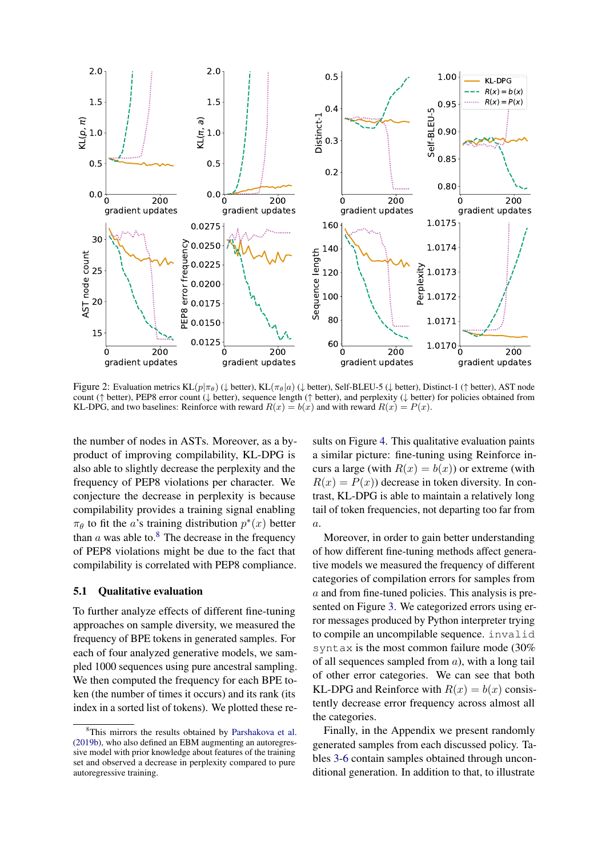<span id="page-5-0"></span>

Figure 2: Evaluation metrics KL( $p|\pi_{\theta}$ ) ( $\downarrow$  better), KL( $\pi_{\theta}|a$ ) ( $\downarrow$  better), Self-BLEU-5 ( $\downarrow$  better), Distinct-1 († better), AST node count (↑ better), PEP8 error count (↓ better), sequence length (↑ better), and perplexity (↓ better) for policies obtained from KL-DPG, and two baselines: Reinforce with reward  $R(x) = b(x)$  and with reward  $R(x) = P(x)$ .

the number of nodes in ASTs. Moreover, as a byproduct of improving compilability, KL-DPG is also able to slightly decrease the perplexity and the frequency of PEP8 violations per character. We conjecture the decrease in perplexity is because compilability provides a training signal enabling  $\pi_{\theta}$  to fit the *a*'s training distribution  $p^*(x)$  better than  $a$  was able to.<sup>[8](#page-5-1)</sup> The decrease in the frequency of PEP8 violations might be due to the fact that compilability is correlated with PEP8 compliance.

#### 5.1 Qualitative evaluation

To further analyze effects of different fine-tuning approaches on sample diversity, we measured the frequency of BPE tokens in generated samples. For each of four analyzed generative models, we sampled 1000 sequences using pure ancestral sampling. We then computed the frequency for each BPE token (the number of times it occurs) and its rank (its index in a sorted list of tokens). We plotted these re-

sults on Figure [4.](#page-6-2) This qualitative evaluation paints a similar picture: fine-tuning using Reinforce incurs a large (with  $R(x) = b(x)$ ) or extreme (with  $R(x) = P(x)$  decrease in token diversity. In contrast, KL-DPG is able to maintain a relatively long tail of token frequencies, not departing too far from a.

Moreover, in order to gain better understanding of how different fine-tuning methods affect generative models we measured the frequency of different categories of compilation errors for samples from a and from fine-tuned policies. This analysis is presented on Figure [3.](#page-6-3) We categorized errors using error messages produced by Python interpreter trying to compile an uncompilable sequence. invalid syntax is the most common failure mode (30% of all sequences sampled from  $a$ ), with a long tail of other error categories. We can see that both KL-DPG and Reinforce with  $R(x) = b(x)$  consistently decrease error frequency across almost all the categories.

Finally, in the Appendix we present randomly generated samples from each discussed policy. Tables [3](#page-11-0)[-6](#page-14-0) contain samples obtained through unconditional generation. In addition to that, to illustrate

<span id="page-5-1"></span><sup>&</sup>lt;sup>8</sup>This mirrors the results obtained by [Parshakova et al.](#page-8-3) [\(2019b\)](#page-8-3), who also defined an EBM augmenting an autoregressive model with prior knowledge about features of the training set and observed a decrease in perplexity compared to pure autoregressive training.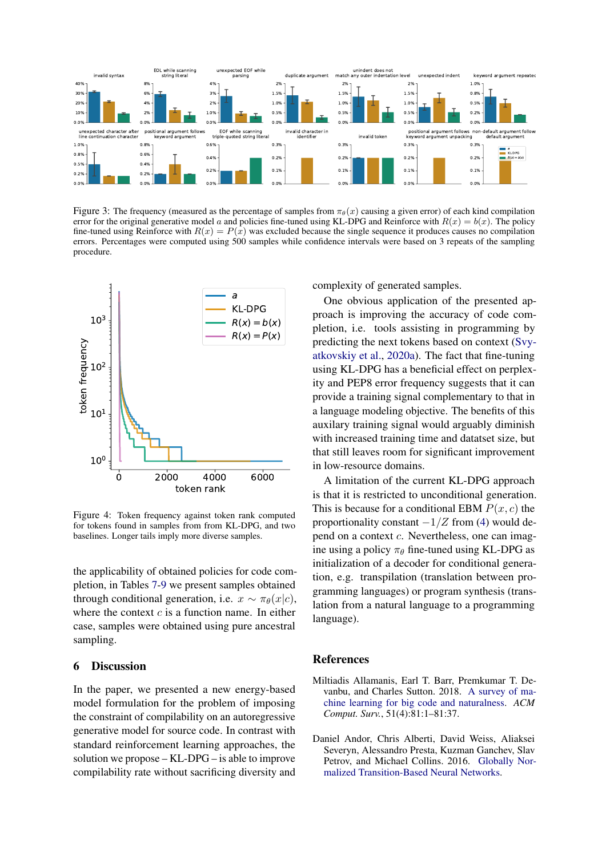<span id="page-6-3"></span>

Figure 3: The frequency (measured as the percentage of samples from  $\pi_{\theta}(x)$  causing a given error) of each kind compilation error for the original generative model a and policies fine-tuned using KL-DPG and Reinforce with  $R(x) = b(x)$ . The policy fine-tuned using Reinforce with  $R(x) = P(x)$  was excluded because the single sequence it produces causes no compilation errors. Percentages were computed using 500 samples while confidence intervals were based on 3 repeats of the sampling procedure.

<span id="page-6-2"></span>

Figure 4: Token frequency against token rank computed for tokens found in samples from from KL-DPG, and two baselines. Longer tails imply more diverse samples.

the applicability of obtained policies for code completion, in Tables [7-](#page-15-0)[9](#page-17-0) we present samples obtained through conditional generation, i.e.  $x \sim \pi_{\theta}(x|c)$ , where the context  $c$  is a function name. In either case, samples were obtained using pure ancestral sampling.

## 6 Discussion

In the paper, we presented a new energy-based model formulation for the problem of imposing the constraint of compilability on an autoregressive generative model for source code. In contrast with standard reinforcement learning approaches, the solution we propose – KL-DPG – is able to improve compilability rate without sacrificing diversity and complexity of generated samples.

One obvious application of the presented approach is improving the accuracy of code completion, i.e. tools assisting in programming by predicting the next tokens based on context [\(Svy](#page-8-1)[atkovskiy et al.,](#page-8-1) [2020a\)](#page-8-1). The fact that fine-tuning using KL-DPG has a beneficial effect on perplexity and PEP8 error frequency suggests that it can provide a training signal complementary to that in a language modeling objective. The benefits of this auxilary training signal would arguably diminish with increased training time and datatset size, but that still leaves room for significant improvement in low-resource domains.

A limitation of the current KL-DPG approach is that it is restricted to unconditional generation. This is because for a conditional EBM  $P(x, c)$  the proportionality constant  $-1/Z$  from [\(4\)](#page-2-1) would depend on a context c. Nevertheless, one can imagine using a policy  $\pi_{\theta}$  fine-tuned using KL-DPG as initialization of a decoder for conditional generation, e.g. transpilation (translation between programming languages) or program synthesis (translation from a natural language to a programming language).

### **References**

- <span id="page-6-0"></span>Miltiadis Allamanis, Earl T. Barr, Premkumar T. Devanbu, and Charles Sutton. 2018. [A survey of ma](https://doi.org/10.1145/3212695)[chine learning for big code and naturalness.](https://doi.org/10.1145/3212695) *ACM Comput. Surv.*, 51(4):81:1–81:37.
- <span id="page-6-1"></span>Daniel Andor, Chris Alberti, David Weiss, Aliaksei Severyn, Alessandro Presta, Kuzman Ganchev, Slav Petrov, and Michael Collins. 2016. [Globally Nor](https://doi.org/10.18653/v1/P16-1231)[malized Transition-Based Neural Networks.](https://doi.org/10.18653/v1/P16-1231)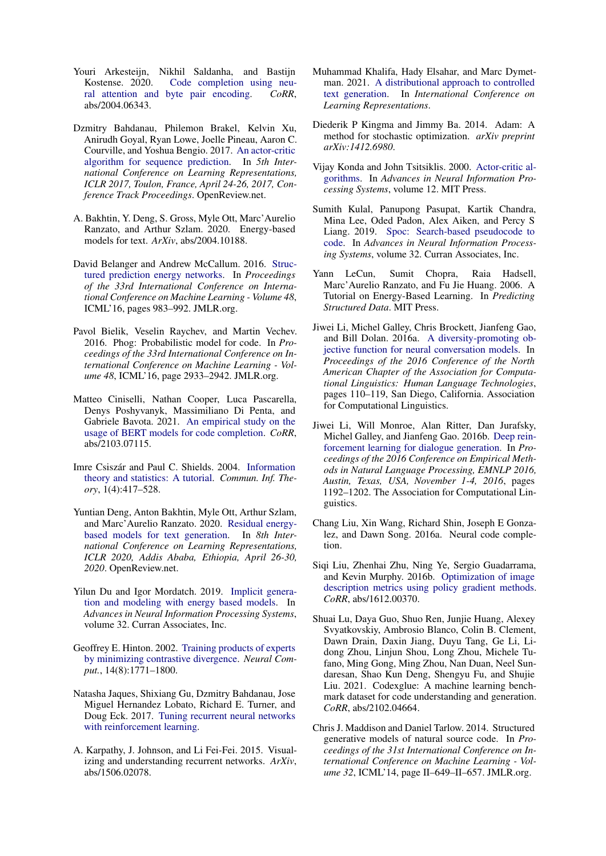- <span id="page-7-3"></span>Youri Arkesteijn, Nikhil Saldanha, and Bastijn Kostense. 2020. [Code completion using neu](http://arxiv.org/abs/2004.06343)[ral attention and byte pair encoding.](http://arxiv.org/abs/2004.06343) *CoRR*, abs/2004.06343.
- <span id="page-7-12"></span>Dzmitry Bahdanau, Philemon Brakel, Kelvin Xu, Anirudh Goyal, Ryan Lowe, Joelle Pineau, Aaron C. Courville, and Yoshua Bengio. 2017. [An actor-critic](https://openreview.net/forum?id=SJDaqqveg) [algorithm for sequence prediction.](https://openreview.net/forum?id=SJDaqqveg) In *5th International Conference on Learning Representations, ICLR 2017, Toulon, France, April 24-26, 2017, Conference Track Proceedings*. OpenReview.net.
- <span id="page-7-18"></span>A. Bakhtin, Y. Deng, S. Gross, Myle Ott, Marc'Aurelio Ranzato, and Arthur Szlam. 2020. Energy-based models for text. *ArXiv*, abs/2004.10188.
- <span id="page-7-16"></span>David Belanger and Andrew McCallum. 2016. [Struc](http://dl.acm.org/citation.cfm?id=3045390.3045495)[tured prediction energy networks.](http://dl.acm.org/citation.cfm?id=3045390.3045495) In *Proceedings of the 33rd International Conference on International Conference on Machine Learning - Volume 48*, ICML'16, pages 983–992. JMLR.org.
- <span id="page-7-1"></span>Pavol Bielik, Veselin Raychev, and Martin Vechev. 2016. Phog: Probabilistic model for code. In *Proceedings of the 33rd International Conference on International Conference on Machine Learning - Volume 48*, ICML'16, page 2933–2942. JMLR.org.
- <span id="page-7-4"></span>Matteo Ciniselli, Nathan Cooper, Luca Pascarella, Denys Poshyvanyk, Massimiliano Di Penta, and Gabriele Bavota. 2021. [An empirical study on the](http://arxiv.org/abs/2103.07115) [usage of BERT models for code completion.](http://arxiv.org/abs/2103.07115) *CoRR*, abs/2103.07115.
- <span id="page-7-20"></span>Imre Csiszár and Paul C. Shields. 2004. [Information](https://doi.org/10.1561/0100000004) [theory and statistics: A tutorial.](https://doi.org/10.1561/0100000004) *Commun. Inf. Theory*, 1(4):417–528.
- <span id="page-7-19"></span>Yuntian Deng, Anton Bakhtin, Myle Ott, Arthur Szlam, and Marc'Aurelio Ranzato. 2020. [Residual energy](https://openreview.net/forum?id=B1l4SgHKDH)[based models for text generation.](https://openreview.net/forum?id=B1l4SgHKDH) In *8th International Conference on Learning Representations, ICLR 2020, Addis Ababa, Ethiopia, April 26-30, 2020*. OpenReview.net.
- <span id="page-7-17"></span>Yilun Du and Igor Mordatch. 2019. [Implicit genera](https://proceedings.neurips.cc/paper/2019/file/378a063b8fdb1db941e34f4bde584c7d-Paper.pdf)[tion and modeling with energy based models.](https://proceedings.neurips.cc/paper/2019/file/378a063b8fdb1db941e34f4bde584c7d-Paper.pdf) In *Advances in Neural Information Processing Systems*, volume 32. Curran Associates, Inc.
- <span id="page-7-14"></span>Geoffrey E. Hinton. 2002. [Training products of experts](https://doi.org/10.1162/089976602760128018) [by minimizing contrastive divergence.](https://doi.org/10.1162/089976602760128018) *Neural Comput.*, 14(8):1771–1800.
- <span id="page-7-13"></span>Natasha Jaques, Shixiang Gu, Dzmitry Bahdanau, Jose Miguel Hernandez Lobato, Richard E. Turner, and Doug Eck. 2017. [Tuning recurrent neural networks](https://openreview.net/pdf?id=Syyv2e-Kx) [with reinforcement learning.](https://openreview.net/pdf?id=Syyv2e-Kx)
- <span id="page-7-5"></span>A. Karpathy, J. Johnson, and Li Fei-Fei. 2015. Visualizing and understanding recurrent networks. *ArXiv*, abs/1506.02078.
- <span id="page-7-0"></span>Muhammad Khalifa, Hady Elsahar, and Marc Dymetman. 2021. [A distributional approach to controlled](https://openreview.net/forum?id=jWkw45-9AbL) [text generation.](https://openreview.net/forum?id=jWkw45-9AbL) In *International Conference on Learning Representations*.
- <span id="page-7-22"></span>Diederik P Kingma and Jimmy Ba. 2014. Adam: A method for stochastic optimization. *arXiv preprint arXiv:1412.6980*.
- <span id="page-7-9"></span>Vijay Konda and John Tsitsiklis. 2000. [Actor-critic al](https://proceedings.neurips.cc/paper/1999/file/6449f44a102fde848669bdd9eb6b76fa-Paper.pdf)[gorithms.](https://proceedings.neurips.cc/paper/1999/file/6449f44a102fde848669bdd9eb6b76fa-Paper.pdf) In *Advances in Neural Information Processing Systems*, volume 12. MIT Press.
- <span id="page-7-7"></span>Sumith Kulal, Panupong Pasupat, Kartik Chandra, Mina Lee, Oded Padon, Alex Aiken, and Percy S Liang. 2019. [Spoc: Search-based pseudocode to](https://proceedings.neurips.cc/paper/2019/file/7298332f04ac004a0ca44cc69ecf6f6b-Paper.pdf) [code.](https://proceedings.neurips.cc/paper/2019/file/7298332f04ac004a0ca44cc69ecf6f6b-Paper.pdf) In *Advances in Neural Information Processing Systems*, volume 32. Curran Associates, Inc.
- <span id="page-7-15"></span>Yann LeCun, Sumit Chopra, Raia Hadsell, Marc'Aurelio Ranzato, and Fu Jie Huang. 2006. A Tutorial on Energy-Based Learning. In *Predicting Structured Data*. MIT Press.
- <span id="page-7-21"></span>Jiwei Li, Michel Galley, Chris Brockett, Jianfeng Gao, and Bill Dolan. 2016a. [A diversity-promoting ob](https://doi.org/10.18653/v1/N16-1014)[jective function for neural conversation models.](https://doi.org/10.18653/v1/N16-1014) In *Proceedings of the 2016 Conference of the North American Chapter of the Association for Computational Linguistics: Human Language Technologies*, pages 110–119, San Diego, California. Association for Computational Linguistics.
- <span id="page-7-11"></span>Jiwei Li, Will Monroe, Alan Ritter, Dan Jurafsky, Michel Galley, and Jianfeng Gao. 2016b. [Deep rein](https://doi.org/10.18653/v1/d16-1127)[forcement learning for dialogue generation.](https://doi.org/10.18653/v1/d16-1127) In *Proceedings of the 2016 Conference on Empirical Methods in Natural Language Processing, EMNLP 2016, Austin, Texas, USA, November 1-4, 2016*, pages 1192–1202. The Association for Computational Linguistics.
- <span id="page-7-2"></span>Chang Liu, Xin Wang, Richard Shin, Joseph E Gonzalez, and Dawn Song. 2016a. Neural code completion.
- <span id="page-7-10"></span>Siqi Liu, Zhenhai Zhu, Ning Ye, Sergio Guadarrama, and Kevin Murphy. 2016b. [Optimization of image](http://arxiv.org/abs/1612.00370) [description metrics using policy gradient methods.](http://arxiv.org/abs/1612.00370) *CoRR*, abs/1612.00370.
- <span id="page-7-6"></span>Shuai Lu, Daya Guo, Shuo Ren, Junjie Huang, Alexey Svyatkovskiy, Ambrosio Blanco, Colin B. Clement, Dawn Drain, Daxin Jiang, Duyu Tang, Ge Li, Lidong Zhou, Linjun Shou, Long Zhou, Michele Tufano, Ming Gong, Ming Zhou, Nan Duan, Neel Sundaresan, Shao Kun Deng, Shengyu Fu, and Shujie Liu. 2021. Codexglue: A machine learning benchmark dataset for code understanding and generation. *CoRR*, abs/2102.04664.
- <span id="page-7-8"></span>Chris J. Maddison and Daniel Tarlow. 2014. Structured generative models of natural source code. In *Proceedings of the 31st International Conference on International Conference on Machine Learning - Volume 32*, ICML'14, page II–649–II–657. JMLR.org.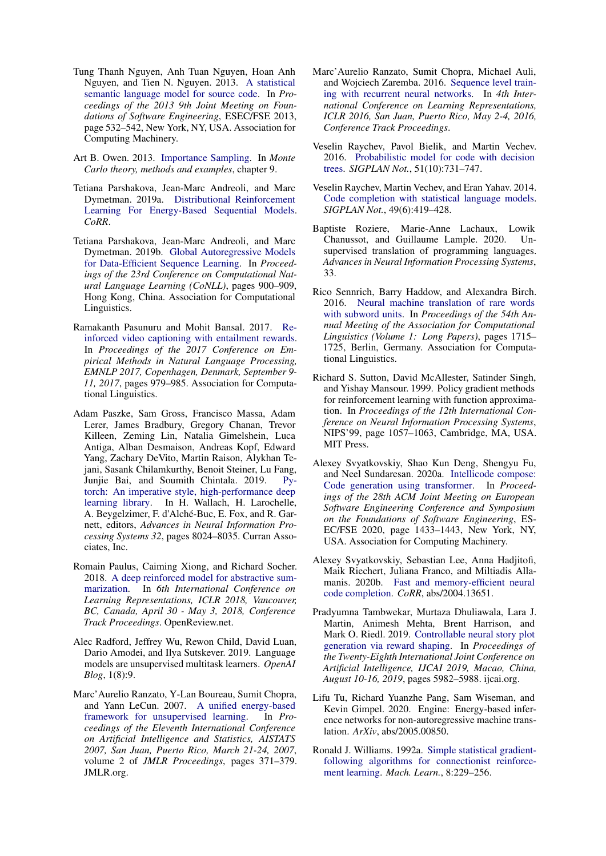- <span id="page-8-6"></span>Tung Thanh Nguyen, Anh Tuan Nguyen, Hoan Anh Nguyen, and Tien N. Nguyen. 2013. [A statistical](https://doi.org/10.1145/2491411.2491458) [semantic language model for source code.](https://doi.org/10.1145/2491411.2491458) In *Proceedings of the 2013 9th Joint Meeting on Foundations of Software Engineering*, ESEC/FSE 2013, page 532–542, New York, NY, USA. Association for Computing Machinery.
- <span id="page-8-14"></span>Art B. Owen. 2013. [Importance Sampling.](https://statweb.stanford.edu/~owen/mc/Ch-var-is.pdf) In *Monte Carlo theory, methods and examples*, chapter 9.
- <span id="page-8-13"></span>Tetiana Parshakova, Jean-Marc Andreoli, and Marc Dymetman. 2019a. [Distributional Reinforcement](http://arxiv.org/abs/1912.08517) [Learning For Energy-Based Sequential Models.](http://arxiv.org/abs/1912.08517) *CoRR*.
- <span id="page-8-3"></span>Tetiana Parshakova, Jean-Marc Andreoli, and Marc Dymetman. 2019b. [Global Autoregressive Models](https://doi.org/10.18653/v1/K19-1084) [for Data-Efficient Sequence Learning.](https://doi.org/10.18653/v1/K19-1084) In *Proceedings of the 23rd Conference on Computational Natural Language Learning (CoNLL)*, pages 900–909, Hong Kong, China. Association for Computational Linguistics.
- <span id="page-8-9"></span>Ramakanth Pasunuru and Mohit Bansal. 2017. [Re](https://doi.org/10.18653/v1/d17-1103)[inforced video captioning with entailment rewards.](https://doi.org/10.18653/v1/d17-1103) In *Proceedings of the 2017 Conference on Empirical Methods in Natural Language Processing, EMNLP 2017, Copenhagen, Denmark, September 9- 11, 2017*, pages 979–985. Association for Computational Linguistics.
- <span id="page-8-19"></span>Adam Paszke, Sam Gross, Francisco Massa, Adam Lerer, James Bradbury, Gregory Chanan, Trevor Killeen, Zeming Lin, Natalia Gimelshein, Luca Antiga, Alban Desmaison, Andreas Kopf, Edward Yang, Zachary DeVito, Martin Raison, Alykhan Tejani, Sasank Chilamkurthy, Benoit Steiner, Lu Fang, Junjie Bai, and Soumith Chintala. 2019. [Py](http://papers.neurips.cc/paper/9015-pytorch-an-imperative-style-high-performance-deep-learning-library.pdf)[torch: An imperative style, high-performance deep](http://papers.neurips.cc/paper/9015-pytorch-an-imperative-style-high-performance-deep-learning-library.pdf) [learning library.](http://papers.neurips.cc/paper/9015-pytorch-an-imperative-style-high-performance-deep-learning-library.pdf) In H. Wallach, H. Larochelle, A. Beygelzimer, F. d'Alché-Buc, E. Fox, and R. Garnett, editors, *Advances in Neural Information Processing Systems 32*, pages 8024–8035. Curran Associates, Inc.
- <span id="page-8-8"></span>Romain Paulus, Caiming Xiong, and Richard Socher. 2018. [A deep reinforced model for abstractive sum](https://openreview.net/forum?id=HkAClQgA-)[marization.](https://openreview.net/forum?id=HkAClQgA-) In *6th International Conference on Learning Representations, ICLR 2018, Vancouver, BC, Canada, April 30 - May 3, 2018, Conference Track Proceedings*. OpenReview.net.
- <span id="page-8-17"></span>Alec Radford, Jeffrey Wu, Rewon Child, David Luan, Dario Amodei, and Ilya Sutskever. 2019. Language models are unsupervised multitask learners. *OpenAI Blog*, 1(8):9.
- <span id="page-8-11"></span>Marc'Aurelio Ranzato, Y-Lan Boureau, Sumit Chopra, and Yann LeCun. 2007. [A unified energy-based](http://proceedings.mlr.press/v2/ranzato07a.html) [framework for unsupervised learning.](http://proceedings.mlr.press/v2/ranzato07a.html) In *Proceedings of the Eleventh International Conference on Artificial Intelligence and Statistics, AISTATS 2007, San Juan, Puerto Rico, March 21-24, 2007*, volume 2 of *JMLR Proceedings*, pages 371–379. JMLR.org.
- <span id="page-8-5"></span>Marc'Aurelio Ranzato, Sumit Chopra, Michael Auli, and Wojciech Zaremba. 2016. [Sequence level train](http://arxiv.org/abs/1511.06732)[ing with recurrent neural networks.](http://arxiv.org/abs/1511.06732) In *4th International Conference on Learning Representations, ICLR 2016, San Juan, Puerto Rico, May 2-4, 2016, Conference Track Proceedings*.
- <span id="page-8-16"></span>Veselin Raychev, Pavol Bielik, and Martin Vechev. 2016. [Probabilistic model for code with decision](https://doi.org/10.1145/3022671.2984041) [trees.](https://doi.org/10.1145/3022671.2984041) *SIGPLAN Not.*, 51(10):731–747.
- <span id="page-8-0"></span>Veselin Raychev, Martin Vechev, and Eran Yahav. 2014. [Code completion with statistical language models.](https://doi.org/10.1145/2666356.2594321) *SIGPLAN Not.*, 49(6):419–428.
- <span id="page-8-4"></span>Baptiste Roziere, Marie-Anne Lachaux, Lowik Chanussot, and Guillaume Lample. 2020. Unsupervised translation of programming languages. *Advances in Neural Information Processing Systems*, 33.
- <span id="page-8-18"></span>Rico Sennrich, Barry Haddow, and Alexandra Birch. 2016. [Neural machine translation of rare words](https://doi.org/10.18653/v1/P16-1162) [with subword units.](https://doi.org/10.18653/v1/P16-1162) In *Proceedings of the 54th Annual Meeting of the Association for Computational Linguistics (Volume 1: Long Papers)*, pages 1715– 1725, Berlin, Germany. Association for Computational Linguistics.
- <span id="page-8-15"></span>Richard S. Sutton, David McAllester, Satinder Singh, and Yishay Mansour. 1999. Policy gradient methods for reinforcement learning with function approximation. In *Proceedings of the 12th International Conference on Neural Information Processing Systems*, NIPS'99, page 1057–1063, Cambridge, MA, USA. MIT Press.
- <span id="page-8-1"></span>Alexey Svyatkovskiy, Shao Kun Deng, Shengyu Fu, and Neel Sundaresan. 2020a. [Intellicode compose:](https://doi.org/10.1145/3368089.3417058) [Code generation using transformer.](https://doi.org/10.1145/3368089.3417058) In *Proceedings of the 28th ACM Joint Meeting on European Software Engineering Conference and Symposium on the Foundations of Software Engineering*, ES-EC/FSE 2020, page 1433–1443, New York, NY, USA. Association for Computing Machinery.
- <span id="page-8-2"></span>Alexey Svyatkovskiy, Sebastian Lee, Anna Hadjitofi, Maik Riechert, Juliana Franco, and Miltiadis Allamanis. 2020b. [Fast and memory-efficient neural](http://arxiv.org/abs/2004.13651) [code completion.](http://arxiv.org/abs/2004.13651) *CoRR*, abs/2004.13651.
- <span id="page-8-10"></span>Pradyumna Tambwekar, Murtaza Dhuliawala, Lara J. Martin, Animesh Mehta, Brent Harrison, and Mark O. Riedl. 2019. [Controllable neural story plot](https://doi.org/10.24963/ijcai.2019/829) [generation via reward shaping.](https://doi.org/10.24963/ijcai.2019/829) In *Proceedings of the Twenty-Eighth International Joint Conference on Artificial Intelligence, IJCAI 2019, Macao, China, August 10-16, 2019*, pages 5982–5988. ijcai.org.
- <span id="page-8-12"></span>Lifu Tu, Richard Yuanzhe Pang, Sam Wiseman, and Kevin Gimpel. 2020. Engine: Energy-based inference networks for non-autoregressive machine translation. *ArXiv*, abs/2005.00850.
- <span id="page-8-7"></span>Ronald J. Williams. 1992a. [Simple statistical gradient](https://doi.org/10.1007/BF00992696)[following algorithms for connectionist reinforce](https://doi.org/10.1007/BF00992696)[ment learning.](https://doi.org/10.1007/BF00992696) *Mach. Learn.*, 8:229–256.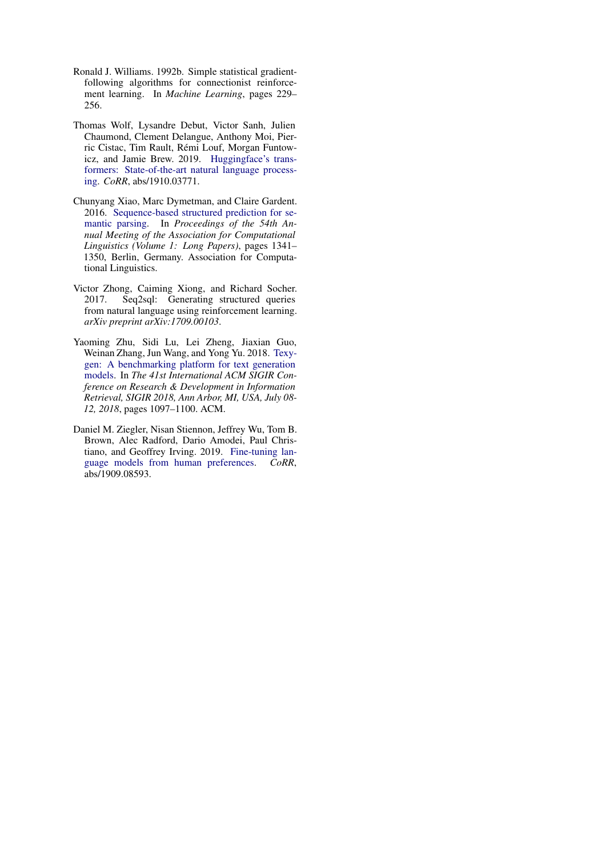- <span id="page-9-3"></span>Ronald J. Williams. 1992b. Simple statistical gradientfollowing algorithms for connectionist reinforcement learning. In *Machine Learning*, pages 229– 256.
- <span id="page-9-5"></span>Thomas Wolf, Lysandre Debut, Victor Sanh, Julien Chaumond, Clement Delangue, Anthony Moi, Pierric Cistac, Tim Rault, Rémi Louf, Morgan Funtowicz, and Jamie Brew. 2019. [Huggingface's trans](http://arxiv.org/abs/1910.03771)[formers: State-of-the-art natural language process](http://arxiv.org/abs/1910.03771)[ing.](http://arxiv.org/abs/1910.03771) *CoRR*, abs/1910.03771.
- <span id="page-9-0"></span>Chunyang Xiao, Marc Dymetman, and Claire Gardent. 2016. [Sequence-based structured prediction for se](https://doi.org/10.18653/v1/P16-1127)[mantic parsing.](https://doi.org/10.18653/v1/P16-1127) In *Proceedings of the 54th Annual Meeting of the Association for Computational Linguistics (Volume 1: Long Papers)*, pages 1341– 1350, Berlin, Germany. Association for Computational Linguistics.
- <span id="page-9-1"></span>Victor Zhong, Caiming Xiong, and Richard Socher. 2017. Seq2sql: Generating structured queries from natural language using reinforcement learning. *arXiv preprint arXiv:1709.00103*.
- <span id="page-9-4"></span>Yaoming Zhu, Sidi Lu, Lei Zheng, Jiaxian Guo, Weinan Zhang, Jun Wang, and Yong Yu. 2018. [Texy](https://doi.org/10.1145/3209978.3210080)[gen: A benchmarking platform for text generation](https://doi.org/10.1145/3209978.3210080) [models.](https://doi.org/10.1145/3209978.3210080) In *The 41st International ACM SIGIR Conference on Research & Development in Information Retrieval, SIGIR 2018, Ann Arbor, MI, USA, July 08- 12, 2018*, pages 1097–1100. ACM.
- <span id="page-9-2"></span>Daniel M. Ziegler, Nisan Stiennon, Jeffrey Wu, Tom B. Brown, Alec Radford, Dario Amodei, Paul Christiano, and Geoffrey Irving. 2019. [Fine-tuning lan](http://arxiv.org/abs/1909.08593)[guage models from human preferences.](http://arxiv.org/abs/1909.08593) *CoRR*, abs/1909.08593.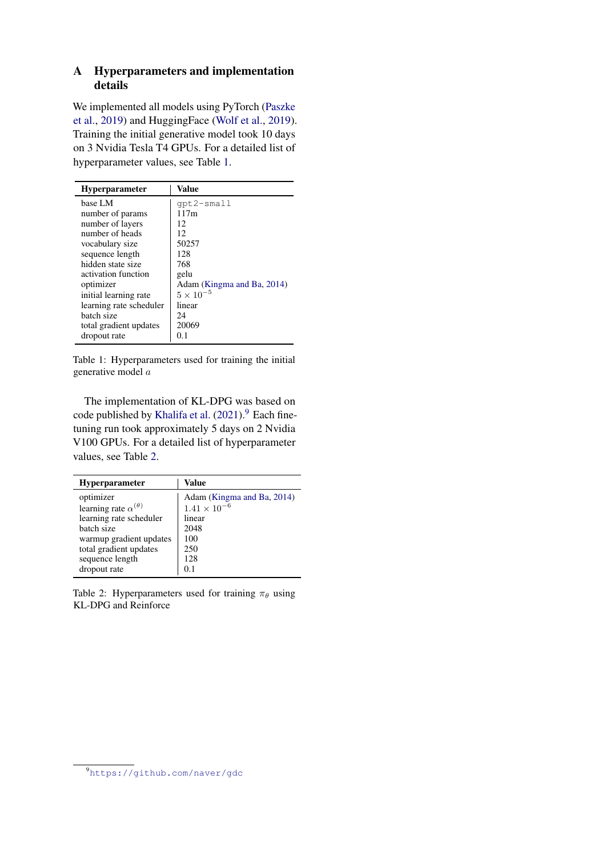# A Hyperparameters and implementation details

We implemented all models using PyTorch [\(Paszke](#page-8-19) [et al.,](#page-8-19) [2019\)](#page-8-19) and HuggingFace [\(Wolf et al.,](#page-9-5) [2019\)](#page-9-5). Training the initial generative model took 10 days on 3 Nvidia Tesla T4 GPUs. For a detailed list of hyperparameter values, see Table [1.](#page-10-0)

<span id="page-10-0"></span>

| <b>Hyperparameter</b>   | Value                      |
|-------------------------|----------------------------|
| base LM                 | qpt2-small                 |
| number of params        | 117m                       |
| number of layers        | 12                         |
| number of heads         | 12                         |
| vocabulary size         | 50257                      |
| sequence length         | 128                        |
| hidden state size       | 768                        |
| activation function     | gelu                       |
| optimizer               | Adam (Kingma and Ba, 2014) |
| initial learning rate   | $5 \times 10^{-5}$         |
| learning rate scheduler | linear                     |
| batch size              | 24                         |
| total gradient updates  | 20069                      |
| dropout rate            | 0.1                        |

Table 1: Hyperparameters used for training the initial generative model a

The implementation of KL-DPG was based on code published by [Khalifa et al.](#page-7-0)  $(2021)$ .<sup>[9](#page-10-2)</sup> Each finetuning run took approximately 5 days on 2 Nvidia V100 GPUs. For a detailed list of hyperparameter values, see Table [2.](#page-10-1)

<span id="page-10-1"></span>

| Hyperparameter                    | Value                      |
|-----------------------------------|----------------------------|
| optimizer                         | Adam (Kingma and Ba, 2014) |
| learning rate $\alpha^{(\theta)}$ | $1.41 \times 10^{-6}$      |
| learning rate scheduler           | linear                     |
| batch size                        | 2048                       |
| warmup gradient updates           | 100                        |
| total gradient updates            | 250                        |
| sequence length                   | 128                        |
| dropout rate                      | 0.1                        |

Table 2: Hyperparameters used for training  $\pi_{\theta}$  using KL-DPG and Reinforce

<span id="page-10-2"></span><sup>9</sup><https://github.com/naver/gdc>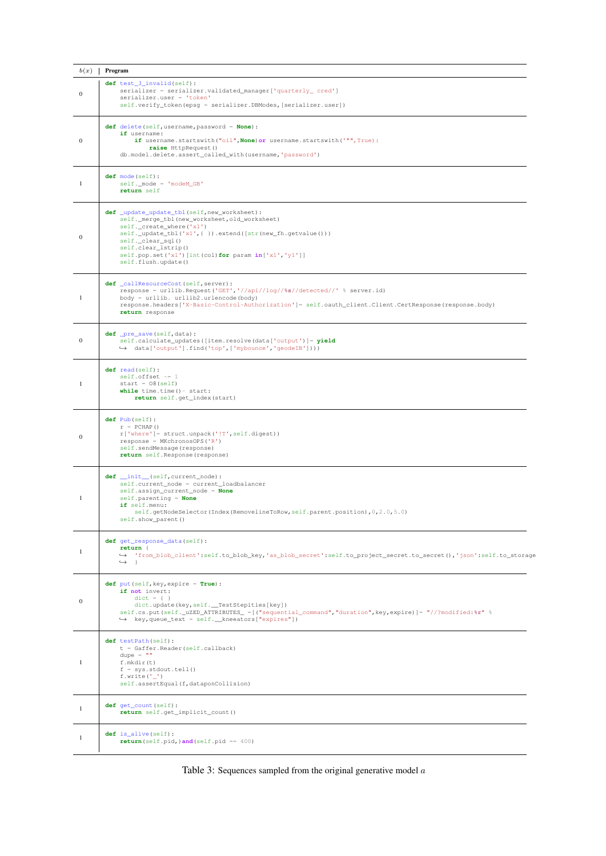<span id="page-11-0"></span>

| b(x)             | Program                                                                                                                                                                                                                                                                                                          |
|------------------|------------------------------------------------------------------------------------------------------------------------------------------------------------------------------------------------------------------------------------------------------------------------------------------------------------------|
| $\bf{0}$         | def test_3_invalid(self):<br>serializer = serializer.validated_manager['quarterly_ cred']<br>serializer.user = 'token'<br>self.verify_token(epsg = serializer.DBModes, [serializer.user])                                                                                                                        |
| $\mathbf{0}$     | def delete (self, username, password = None) :<br>if username:<br>if username.startswith("oil", None) or username.startswith('"", True):<br>raise HttpRequest()<br>db.model.delete.assert_called_with(username,'password')                                                                                       |
| 1                | def mode(self):<br>$self._{\mod}e = 'model\_GB'$<br>return self                                                                                                                                                                                                                                                  |
| $\mathbf{0}$     | def _update_update_tbl(self, new_worksheet):<br>self._merge_tbl(new_worksheet,old_worksheet)<br>self._create_where('x1')<br>self._update_tbl('x1',{ }).extend([str(new_fh.getvalue()))<br>self._clear_sql()<br>self.clear_lstrip()<br>self.pop.set('x1')[int(col)for param in['x1','y1']]<br>self.flush.update() |
| $\mathbf{1}$     | def callResourceCost (self, server) :<br>response = urllib. Request ('GET', '//api//log//%s//detected//' % server.id)<br>body = urllib. urllib2.urlencode(body)<br>response.headers['X-Basic-Control-Authorization']= self.oauth_client.Client.CertResponse(response.body)<br>return response                    |
| 0                | def _pre_save(self,data):<br>self.calculate_updates([item.resolve(data['output')]= yield<br>→ data['output'].find('top',['mybounce','geodeIB'])))                                                                                                                                                                |
| 1                | def read(self):<br>$self.offset = 1$<br>$start = 08 (self)$<br><b>while</b> $time.time() - start:$<br>return self.get_index(start)                                                                                                                                                                               |
| $\mathbf{0}$     | def Pub(self):<br>$r = PCHAP()$<br>$r['where'] = struct.update('!T', self.digest))$<br>$response = MKchronosOPS('R')$<br>self.sendMessage(response)<br>return self. Response (response)                                                                                                                          |
| 1                | def _init_(self, current_node):<br>self.current node = current loadbalancer<br>self.assign_current_node = None<br>$self.parenting = None$<br>if self.menu:<br>self.getNodeSelector(Index(RemovelineToRow,self.parent.position), 0, 2.0, 5.0)<br>self.show_parent()                                               |
| $\mathbf{1}$     | def get_response_data(self):<br>return {<br>→ 'from_blob_client':self.to_blob_key,'as_blob_secret':self.to_project_secret.to_secret(),'json':self.to_storage<br>$\hookrightarrow$ $\vdash$                                                                                                                       |
| $\boldsymbol{0}$ | def put (self, key, expire = True) :<br>if not invert:<br>$dict = \{\ )$<br>dict.update(key, self. __ TestStepities[key])<br>self.cs.put(self._uZED_ATTRIBUTES_ =[("sequential_command","duration", key, expire)]= "//?modified:%r" %<br>$\leftrightarrow$ key, queue_text = self. __ kneeators ["expires"])     |
| 1                | def testPath(self):<br>$t = Gaffer. Reader(self.callback)$<br>dupe = $""$<br>f.mkdir(t)<br>$f = sys.stdout.tell()$<br>f.write $('_')$<br>self.assertEqual(f,dataponCollision)                                                                                                                                    |
| 1                | def qet_count (self) :<br>return self.get_implicit_count()                                                                                                                                                                                                                                                       |
| 1                | $def$ is_alive(self):<br>$return (self.pid,) and (self.pid == 400)$                                                                                                                                                                                                                                              |

Table 3: Sequences sampled from the original generative model  $\boldsymbol{a}$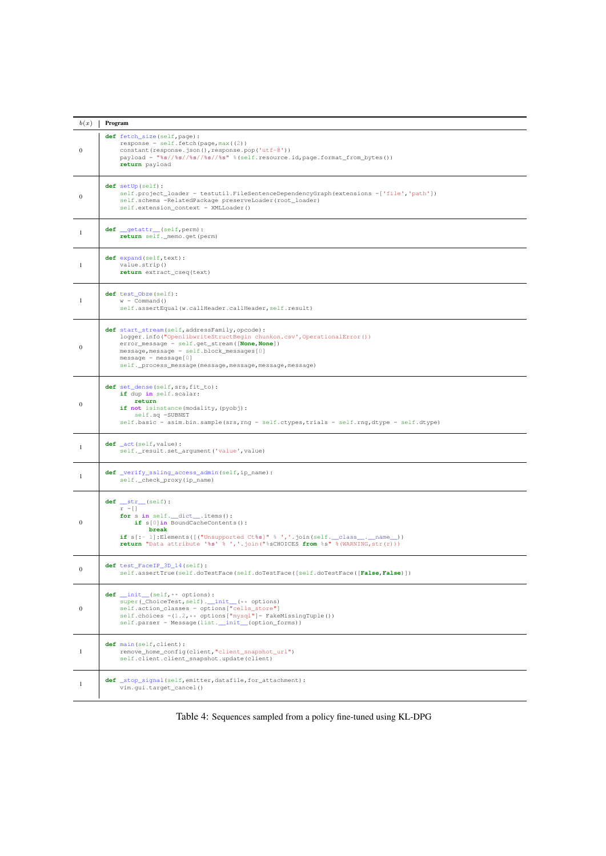| b(x)             | Program                                                                                                                                                                                                                                                                                                     |
|------------------|-------------------------------------------------------------------------------------------------------------------------------------------------------------------------------------------------------------------------------------------------------------------------------------------------------------|
| $\mathbf{0}$     | def fetch_size(self, page):<br>$response = self.fetch(page, max(2))$<br>constant (response.json(), response.pop('utf-8'))<br>payload = "%s//%s//%s//%s" %(self.resource.id,page.format_from_bytes())<br>return payload                                                                                      |
| $\mathbf{0}$     | def setUp(self):<br>self.project_loader = testutil.FileSentenceDependencyGraph(extensions =['file','path'])<br>self.schema =RelatedPackage preserveLoader(root_loader)<br>self.extension_context = XMLLoader()                                                                                              |
| -1               | def __getattr__(self, perm):<br>return self._memo.get(perm)                                                                                                                                                                                                                                                 |
| 1                | def expand (self, text) :<br>value.strip()<br>return extract_cseq(text)                                                                                                                                                                                                                                     |
| 1                | def test_Obze(self):<br>$w = \text{Command}()$<br>self.assertEqual(w.callHeader.callHeader,self.result)                                                                                                                                                                                                     |
| $\mathbf{0}$     | def start_stream(self, addressFamily, opcode):<br>logger.info("OpenlibwriteStructBegin chunkon.csv',OperationalError())<br>error_message = self.get_stream([None, None])<br>$message, message = self.block_messages[0]$<br>$message = message[0]$<br>self._process_message(message,message,message,message) |
| $\bf{0}$         | def set_dense(self, srs, fit_to):<br>if dup in self.scalar:<br>return<br>if not isinstance (modality, (pyobj):<br>$self.sq = SUBNET$<br>self.basic = asim.bin.sample(srs, rng = self.ctypes, trials = self.rng, dtype = self.dtype)                                                                         |
| 1                | def _act(self, value) :<br>self._result.set_argument('value', value)                                                                                                                                                                                                                                        |
| $\mathbf{1}$     | def _verify_ssling_access_admin(self, ip_name):<br>self._check_proxy(ip_name)                                                                                                                                                                                                                               |
| $\mathbf{0}$     | $def __str__(self):$<br>$r = []$<br>for s in self. __dict__.items():<br>$if s[0] in BoundedCacheContents()$ :<br>break<br><b>if</b> $s$ [:- 1]:Elements([("Unsupported Ct%s]" % ','.join(self. _class__._name__))<br>return "Data attribute '%s' % ','.join("%sCHOICES from %s" %(WARNING, str(r)))         |
| $\mathbf{0}$     | def test_FaceIP_3D_14(self):<br>self.assertTrue(self.doTestFace(self.doTestFace([self.doTestFace([False,False)])                                                                                                                                                                                            |
| $\boldsymbol{0}$ | $def __init__(self, ** options):$<br>super(_ChoiceTest, self).__init__(** options)<br>self.action_classes = options["cells_store"]<br>self.choices = $(1.2, **$ options ["mysql"]= FakeMissingTuple())<br>self.parser = Message(list._init_(option_forms))                                                  |
| 1                | def main(self, client):<br>remove home config(client, "client snapshot url")<br>self.client.client_snapshot.update(client)                                                                                                                                                                                  |
| $\mathbf{1}$     | def _stop_signal(self,emitter,datafile,for_attachment):<br>vim.qui.target_cancel()                                                                                                                                                                                                                          |

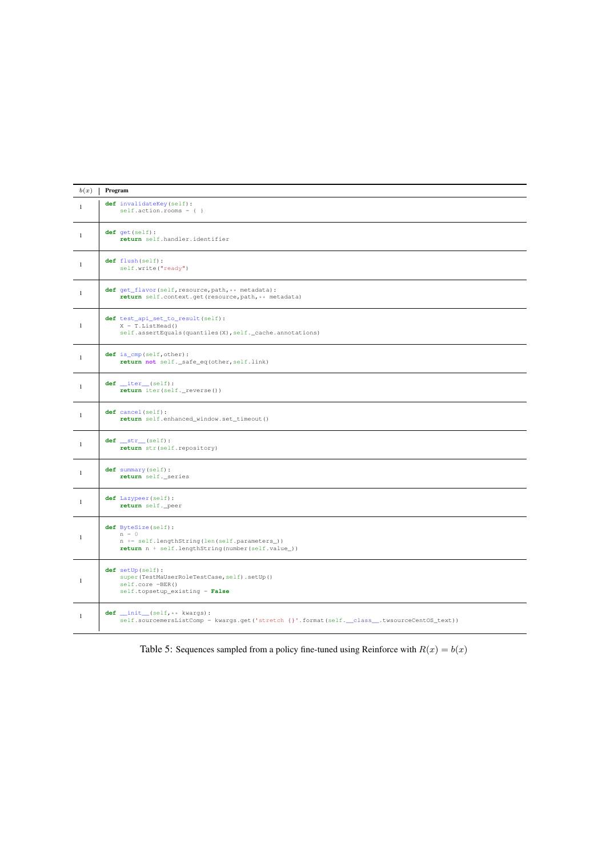| b(x)         | Program                                                                                                                                |
|--------------|----------------------------------------------------------------------------------------------------------------------------------------|
| $\mathbf{1}$ | def invalidateKey(self):<br>$self. action. rooms = \{\}$                                                                               |
| $\mathbf{1}$ | $def$ qet $(self)$ :<br>return self.handler.identifier                                                                                 |
| $\mathbf{1}$ | def flush(self):<br>self.write("ready")                                                                                                |
| $\mathbf{1}$ | def get_flavor(self, resource, path, ** metadata) :<br>return self.context.get(resource, path, ** metadata)                            |
| $\mathbf{1}$ | def test_api_set_to_result(self):<br>$X = T.ListHead()$<br>self.assertEquals(quantiles(X), self._cache.annotations)                    |
| $\mathbf{1}$ | def is_cmp(self, other):<br>return not self._safe_eq(other, self.link)                                                                 |
| $\mathbf{1}$ | $def __iter__(self):$<br>return iter(self._reverse())                                                                                  |
| $\mathbf{1}$ | def cancel(self):<br>return self.enhanced_window.set_timeout()                                                                         |
| $\mathbf{1}$ | $def __str__(self):$<br>return str (self. repository)                                                                                  |
| $\mathbf{1}$ | def summary (self) :<br>return self._series                                                                                            |
| $\mathbf{1}$ | def Lazypeer (self) :<br>return self._peer                                                                                             |
| $\mathbf{1}$ | def ByteSize(self):<br>$n = 0$<br>n += self.lengthString(len(self.parameters_))<br>return $n + self.lengthString(number(self.value]))$ |
| $\mathbf{1}$ | def setUp(self):<br>super(TestMaUserRoleTestCase, self).setUp()<br>$self.core = BER()$<br>self.topsetup_existing = False               |
| $\mathbf{1}$ | $def __init__(self, **kwarqs):$<br>self.sourcemersListComp = kwargs.get('stretch {}'.format(self.__class__.twsourceCentOS_text))       |

Table 5: Sequences sampled from a policy fine-tuned using Reinforce with  $R(x) = b(x)$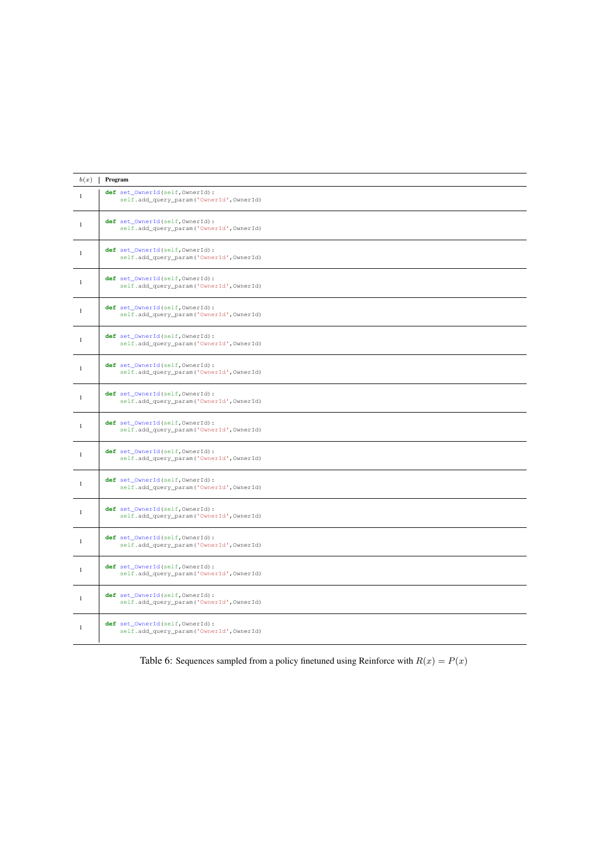<span id="page-14-0"></span>

| b(x)         | Program                                                                      |
|--------------|------------------------------------------------------------------------------|
| $\mathbf{1}$ | def set_OwnerId(self, OwnerId):<br>self.add_query_param('OwnerId', OwnerId)  |
| $\mathbf{1}$ | def set OwnerId(self, OwnerId):<br>self.add_query_param('OwnerId',OwnerId)   |
| $\mathbf{1}$ | def set_OwnerId(self, OwnerId):<br>self.add_query_param('OwnerId', OwnerId)  |
| $\mathbf{1}$ | def set_OwnerId(self, OwnerId):<br>self.add_query_param('OwnerId', OwnerId)  |
| $\mathbf{1}$ | def set OwnerId(self, OwnerId):<br>self.add_query_param('OwnerId',OwnerId)   |
| $\mathbf{1}$ | def set_OwnerId(self, OwnerId):<br>self.add_query_param('OwnerId', OwnerId)  |
| $\mathbf{1}$ | def set_OwnerId(self, OwnerId):<br>self.add_query_param('OwnerId', OwnerId)  |
| $\mathbf{1}$ | def set_OwnerId(self, OwnerId):<br>self.add_query_param('OwnerId',OwnerId)   |
| $\mathbf{1}$ | def set_OwnerId(self, OwnerId):<br>self.add_query_param('OwnerId', OwnerId)  |
| $\mathbf{1}$ | def set_OwnerId(self, OwnerId):<br>self.add_query_param('OwnerId', OwnerId)  |
| $\mathbf{1}$ | def set OwnerId(self, OwnerId):<br>self.add_query_param('OwnerId', OwnerId)  |
| $\mathbf{1}$ | def set_OwnerId(self, OwnerId) :<br>self.add_query_param('OwnerId', OwnerId) |
| $\mathbf{1}$ | def set_OwnerId(self, OwnerId):<br>self.add_query_param('OwnerId',OwnerId)   |
| $\mathbf{1}$ | def set_OwnerId(self, OwnerId) :<br>self.add_query_param('OwnerId', OwnerId) |
| $\mathbf{1}$ | def set_OwnerId(self, OwnerId):<br>self.add_query_param('OwnerId',OwnerId)   |
| $\mathbf{1}$ | def set_OwnerId(self, OwnerId):<br>self.add_query_param('OwnerId', OwnerId)  |

Table 6: Sequences sampled from a policy finetuned using Reinforce with  $R(x) = P(x)$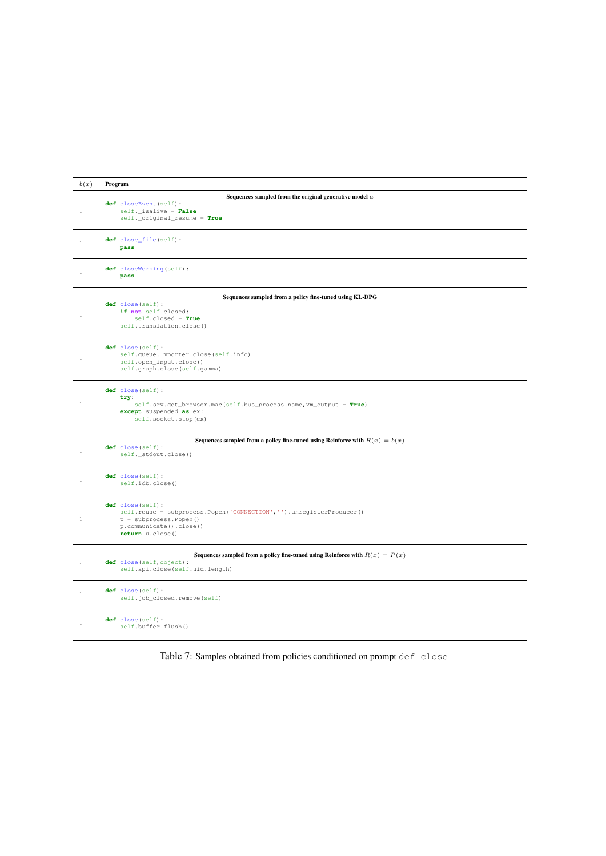<span id="page-15-0"></span>

| b(x)         | Program                                                                                                                                                              |  |  |
|--------------|----------------------------------------------------------------------------------------------------------------------------------------------------------------------|--|--|
| $\mathbf{1}$ | Sequences sampled from the original generative model $a$<br>def closeEvent (self) :<br>self._isalive = False<br>self._original_resume = True                         |  |  |
| 1            | def close_file(self):<br>pass                                                                                                                                        |  |  |
| 1            | def closeWorking(self):<br>pass                                                                                                                                      |  |  |
|              |                                                                                                                                                                      |  |  |
| $\mathbf{1}$ | Sequences sampled from a policy fine-tuned using KL-DPG<br>def close(self):<br>if not self.closed:<br>$self.close = True$<br>self.translation.close()                |  |  |
| -1           | def close(self):<br>self.queue.Importer.close(self.info)<br>self.open_input.close()<br>self.graph.close(self.gamma)                                                  |  |  |
| -1           | def close(self):<br>try:<br>self.srv.get_browser.mac(self.bus_process.name, vm_output = True)<br>except suspended as ex:<br>self.socket.stop(ex)                     |  |  |
|              |                                                                                                                                                                      |  |  |
| $\mathbf{1}$ | Sequences sampled from a policy fine-tuned using Reinforce with $R(x) = b(x)$<br>def close(self):<br>self._stdout.close()                                            |  |  |
| 1            | def close(self):<br>self.idb.close()                                                                                                                                 |  |  |
| 1            | def close(self):<br>self.reuse = subprocess.Popen('CONNECTION','').unregisterProducer()<br>$p =$ subprocess. Popen ()<br>p.communicate().close()<br>return u.close() |  |  |
|              |                                                                                                                                                                      |  |  |
| $\mathbf{1}$ | Sequences sampled from a policy fine-tuned using Reinforce with $R(x) = P(x)$<br>def close(self, object):<br>self.api.close(self.uid.length)                         |  |  |
| 1            | def close(self):<br>self.job_closed.remove(self)                                                                                                                     |  |  |
| 1            | def close(self):<br>self.buffer.flush()                                                                                                                              |  |  |

Table 7: Samples obtained from policies conditioned on prompt def close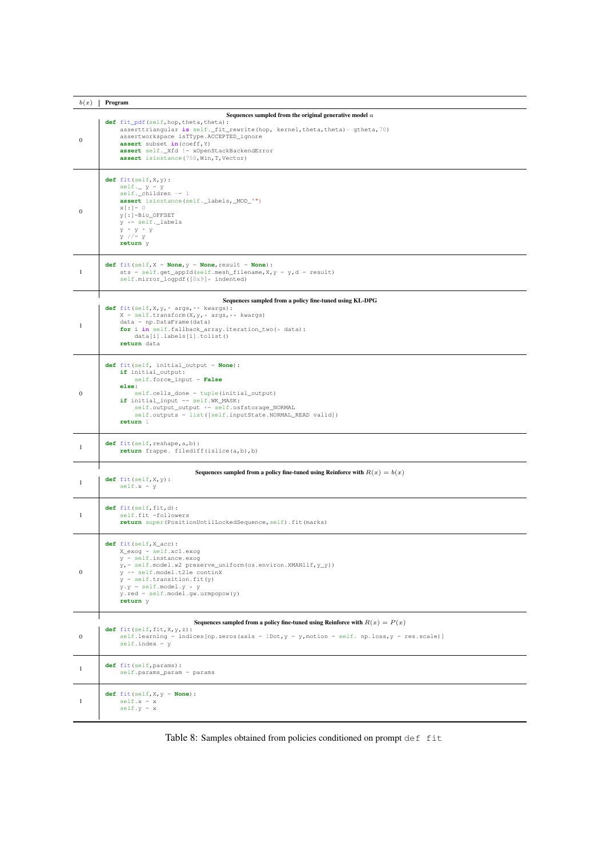| b(x)         | Program                                                                                                                                                                                                                                                                                                       |  |  |
|--------------|---------------------------------------------------------------------------------------------------------------------------------------------------------------------------------------------------------------------------------------------------------------------------------------------------------------|--|--|
|              | Sequences sampled from the original generative model $a$                                                                                                                                                                                                                                                      |  |  |
| $\mathbf{0}$ | def fit_pdf(self, hop, theta, theta) :<br>asserttriangular is self. fit rewrite (hop, kernel, theta, theta) - gtheta, 70)<br>assertworkspace isTType.ACCEPTED_ignore<br>assert subset in (coeff, Y)<br>assert self._Xfd != xOpenStackBackendError<br>assert isinstance (750, Win, T, Vector)                  |  |  |
| $\mathbf{0}$ | $def$ fit (self, $X$ , $Y$ ) :<br>$self.$ $y = y$<br>$self.$ _children -= 1<br>assert isinstance(self._labels,_MOD_'")<br>$X$ [:] = 0<br>$y$ [:]=Bio_OFFSET<br>$y \leftarrow self$ ._labels<br>$y * y * y$<br>$y$ //= $y$<br>return y                                                                         |  |  |
| 1            | def fit(self, $X = None$ , $y = None$ , result = None) :<br>sts = self.get_appId(self.mesh_filename, $X, Y = Y, d$ = result)<br>self.mirror_logpdf([0x9]* indented)                                                                                                                                           |  |  |
|              | Sequences sampled from a policy fine-tuned using KL-DPG                                                                                                                                                                                                                                                       |  |  |
| -1           | def fit (self, $X, Y, *$ args, $**$ kwargs):<br>$X = self.transpose(X, y, * args, **kwargs)$<br>$data = np.DataFrame(data)$<br>for i in self.fallback_array.iteration_two(* data):<br>data[i].labels[i].tolist()<br>return data                                                                               |  |  |
| $\bf{0}$     | def fit (self, initial_output = None) :<br>if initial_output:<br>$self.force\_input = False$<br>else:<br>self.cells_done = tuple(initial_output)<br>if initial_input == self.WK_MASK:<br>self.output_output += self.osfstorage_NORMAL<br>self.outputs = list([self.inputState.NORMAL_READ valid])<br>return 1 |  |  |
| 1            | def fit (self, reshape, a, b) :<br>return frappe. filediff(islice(a,b),b)                                                                                                                                                                                                                                     |  |  |
|              |                                                                                                                                                                                                                                                                                                               |  |  |
| 1            | Sequences sampled from a policy fine-tuned using Reinforce with $R(x) = b(x)$<br>$def$ fit (self, $X$ , $Y$ ) :<br>$self.x = y$                                                                                                                                                                               |  |  |
| 1            | $def$ fit (self, fit, $d)$ :<br>self.fit =followers<br>return super (PositionUntilLockedSequence, self) .fit (marks)                                                                                                                                                                                          |  |  |
| $\mathbf{0}$ | $def$ $fit(self, X_acc)$ :<br>X_exog = self.xcl.exog<br>$y = self.insertance.exeog$<br>$y_r = self.model.w2 preserve\_uniform(os.environ.XMANllf, y_y))$<br>y += self.model.t2le continX<br>$y = self.trainstitution.fit(y)$<br>$y.y = self.model.y * y$<br>$y.read = self.model.gw.unmpopow(y)$<br>return y  |  |  |
|              |                                                                                                                                                                                                                                                                                                               |  |  |
| $\mathbf{0}$ | Sequences sampled from a policy fine-tuned using Reinforce with $R(x) = P(x)$<br>$def$ fit (self, fit, $X, Y, Z$ ) :<br>self.learning = indices [np.zeros (axis = 1Dot, $y = y$ , motion = self. np.loss, $y = res$ .scale)]<br>$self.index = y$                                                              |  |  |
| $\mathbf{1}$ | def fit (self, params) :<br>self.params_param = params                                                                                                                                                                                                                                                        |  |  |
| $\mathbf{1}$ | def $fit(self, X, Y = None)$ :<br>$self.x = x$<br>$self.y = x$                                                                                                                                                                                                                                                |  |  |

Table 8: Samples obtained from policies conditioned on prompt def fit